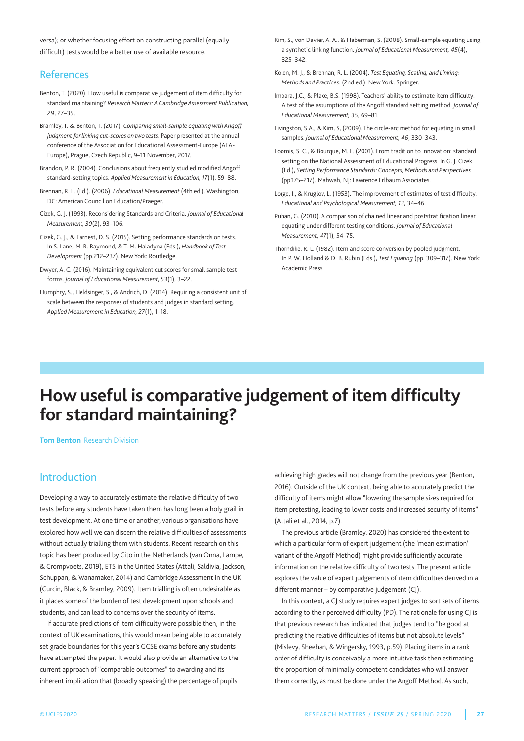versa); or whether focusing effort on constructing parallel (equally difficult) tests would be a better use of available resource.

## References

- Benton, T. (2020). How useful is comparative judgement of item difficulty for standard maintaining? *Research Matters: A Cambridge Assessment Publication, 29*, 27–35.
- Bramley, T. & Benton, T. (2017). *Comparing small-sample equating with Angoff judgment for linking cut-scores on two tests*. Paper presented at the annual conference of the Association for Educational Assessment-Europe (AEA-Europe), Prague, Czech Republic, 9–11 November, 2017.
- Brandon, P. R. (2004). Conclusions about frequently studied modified Angoff standard-setting topics. *Applied Measurement in Education, 17*(1), 59–88.
- Brennan, R. L. (Ed.). (2006). *Educational Measurement* (4th ed.). Washington, DC: American Council on Education/Praeger.
- Cizek, G. J. (1993). Reconsidering Standards and Criteria. *Journal of Educational Measurement, 30*(2), 93–106.
- Cizek, G. J., & Earnest, D. S. (2015). Setting performance standards on tests. In S. Lane, M. R. Raymond, & T. M. Haladyna (Eds.), *Handbook of Test Development* (pp.212–237). New York: Routledge.
- Dwyer, A. C. (2016). maintaining equivalent cut scores for small sample test forms. *Journal of Educational Measurement, 53*(1), 3–22.
- Humphry, S., Heldsinger, S., & Andrich, D. (2014). Requiring a consistent unit of scale between the responses of students and judges in standard setting. *Applied Measurement in Education, 27*(1), 1–18.
- Kim, S., von Davier, A. A., & Haberman, S. (2008). Small-sample equating using a synthetic linking function. *Journal of Educational Measurement, 45*(4), 325–342.
- Kolen, m. J., & Brennan, R. L. (2004). *Test Equating, Scaling, and Linking: Methods and Practices*. (2nd ed.). New York: Springer.
- Impara, J.C., & Plake, B.S. (1998). Teachers' ability to estimate item difficulty: A test of the assumptions of the Angoff standard setting method. *Journal of Educational Measurement, 35*, 69–81.
- Livingston, S.A., & Kim, S, (2009). The circle-arc method for equating in small samples. *Journal of Educational Measurement, 46*, 330–343.
- Loomis, S. C., & Bourque, m. L. (2001). From tradition to innovation: standard setting on the National Assessment of Educational Progress. In G. J. Cizek (Ed.), *Setting Performance Standards: Concepts, Methods and Perspectives* (pp.175–217). mahwah, NJ: Lawrence Erlbaum Associates.
- Lorge, I., & Krugloy, L. (1953). The improvement of estimates of test difficulty. *Educational and Psychological Measurement, 13*, 34–46.
- Puhan, G. (2010). A comparison of chained linear and poststratification linear equating under different testing conditions. *Journal of Educational Measurement, 47*(1), 54–75.
- thorndike, R. L. (1982). Item and score conversion by pooled judgment. In P. W. Holland & D. B. Rubin (Eds.), *Test Equating* (pp. 309–317). New York: Academic Press.

# **How useful is comparative judgement of item difficulty for standard maintaining?**

**Tom Benton** Research Division

# Introduction

Developing a way to accurately estimate the relative difficulty of two tests before any students have taken them has long been a holy grail in test development. At one time or another, various organisations have explored how well we can discern the relative difficulties of assessments without actually trialling them with students. Recent research on this topic has been produced by Cito in the Netherlands (van Onna, Lampe, & Crompvoets, 2019), ETS in the United States (Attali, Saldivia, Jackson, Schuppan, & Wanamaker, 2014) and Cambridge Assessment in the UK (Curcin, Black, & Bramley, 2009). Item trialling is often undesirable as it places some of the burden of test development upon schools and students, and can lead to concerns over the security of items.

If accurate predictions of item difficulty were possible then, in the context of UK examinations, this would mean being able to accurately set grade boundaries for this year's GCSE exams before any students have attempted the paper. It would also provide an alternative to the current approach of "comparable outcomes" to awarding and its inherent implication that (broadly speaking) the percentage of pupils

achieving high grades will not change from the previous year (Benton, 2016). Outside of the UK context, being able to accurately predict the difficulty of items might allow "lowering the sample sizes required for item pretesting, leading to lower costs and increased security of items" (Attali et al., 2014, p.7).

the previous article (Bramley, 2020) has considered the extent to which a particular form of expert judgement (the 'mean estimation' variant of the Angoff method) might provide sufficiently accurate information on the relative difficulty of two tests. The present article explores the value of expert judgements of item difficulties derived in a different manner – by comparative judgement (CJ).

In this context, a CJ study requires expert judges to sort sets of items according to their perceived difficulty (PD). The rationale for using CJ is that previous research has indicated that judges tend to "be good at predicting the relative difficulties of items but not absolute levels" (mislevy, Sheehan, & Wingersky, 1993, p.59). Placing items in a rank order of difficulty is conceivably a more intuitive task then estimating the proportion of minimally competent candidates who will answer them correctly, as must be done under the Angoff method. As such,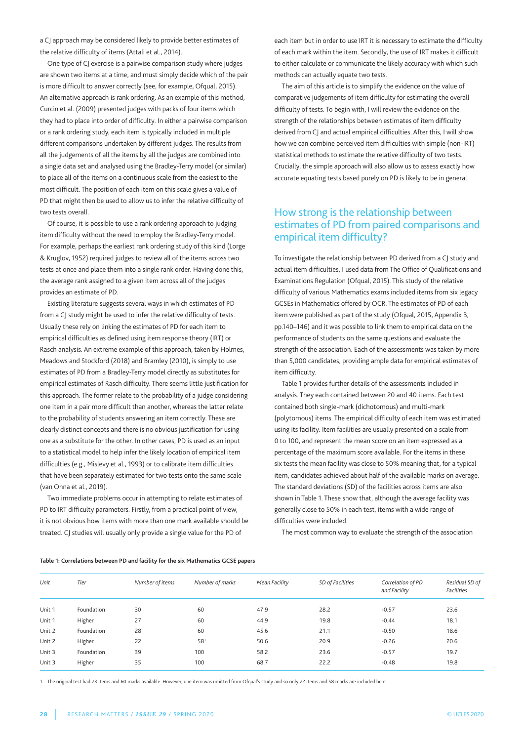a CJ approach may be considered likely to provide better estimates of the relative difficulty of items (Attali et al., 2014).

One type of CJ exercise is a pairwise comparison study where judges are shown two items at a time, and must simply decide which of the pair is more difficult to answer correctly (see, for example, Ofqual, 2015). An alternative approach is rank ordering. As an example of this method, Curcin et al. (2009) presented judges with packs of four items which they had to place into order of difficulty. In either a pairwise comparison or a rank ordering study, each item is typically included in multiple different comparisons undertaken by different judges. The results from all the judgements of all the items by all the judges are combined into a single data set and analysed using the Bradley-Terry model (or similar) to place all of the items on a continuous scale from the easiest to the most difficult. The position of each item on this scale gives a value of PD that might then be used to allow us to infer the relative difficulty of two tests overall.

Of course, it is possible to use a rank ordering approach to judging item difficulty without the need to employ the Bradley-Terry model. For example, perhaps the earliest rank ordering study of this kind (Lorge & Kruglov, 1952) required judges to review all of the items across two tests at once and place them into a single rank order. Having done this, the average rank assigned to a given item across all of the judges provides an estimate of PD.

Existing literature suggests several ways in which estimates of PD from a CJ study might be used to infer the relative difficulty of tests. Usually these rely on linking the estimates of PD for each item to empirical difficulties as defined using item response theory (IRT) or Rasch analysis. An extreme example of this approach, taken by Holmes, meadows and Stockford (2018) and Bramley (2010), is simply to use estimates of PD from a Bradley-Terry model directly as substitutes for empirical estimates of Rasch difficulty. There seems little justification for this approach. The former relate to the probability of a judge considering one item in a pair more difficult than another, whereas the latter relate to the probability of students answering an item correctly. These are clearly distinct concepts and there is no obvious justification for using one as a substitute for the other. In other cases, PD is used as an input to a statistical model to help infer the likely location of empirical item difficulties (e.g., mislevy et al., 1993) or to calibrate item difficulties that have been separately estimated for two tests onto the same scale (van Onna et al., 2019).

Two immediate problems occur in attempting to relate estimates of PD to IRT difficulty parameters. Firstly, from a practical point of view, it is not obvious how items with more than one mark available should be treated. CJ studies will usually only provide a single value for the PD of

each item but in order to use IRT it is necessary to estimate the difficulty of each mark within the item. Secondly, the use of IRT makes it difficult to either calculate or communicate the likely accuracy with which such methods can actually equate two tests.

The aim of this article is to simplify the evidence on the value of comparative judgements of item difficulty for estimating the overall difficulty of tests. To begin with, I will review the evidence on the strength of the relationships between estimates of item difficulty derived from CJ and actual empirical difficulties. After this, I will show how we can combine perceived item difficulties with simple (non-IRt) statistical methods to estimate the relative difficulty of two tests. Crucially, the simple approach will also allow us to assess exactly how accurate equating tests based purely on PD is likely to be in general.

# How strong is the relationship between estimates of PD from paired comparisons and empirical item difficulty?

To investigate the relationship between PD derived from a CJ study and actual item difficulties, I used data from the Office of Qualifications and Examinations Regulation (Ofqual, 2015). This study of the relative difficulty of various mathematics exams included items from six legacy GCSEs in Mathematics offered by OCR. The estimates of PD of each item were published as part of the study (Ofqual, 2015, Appendix B, pp.140–146) and it was possible to link them to empirical data on the performance of students on the same questions and evaluate the strength of the association. Each of the assessments was taken by more than 5,000 candidates, providing ample data for empirical estimates of item difficulty.

Table 1 provides further details of the assessments included in analysis. They each contained between 20 and 40 items. Each test contained both single-mark (dichotomous) and multi-mark (polytomous) items. The empirical difficulty of each item was estimated using its facility. Item facilities are usually presented on a scale from 0 to 100, and represent the mean score on an item expressed as a percentage of the maximum score available. For the items in these six tests the mean facility was close to 50% meaning that, for a typical item, candidates achieved about half of the available marks on average. the standard deviations (SD) of the facilities across items are also shown in Table 1. These show that, although the average facility was generally close to 50% in each test, items with a wide range of difficulties were included.

The most common way to evaluate the strength of the association

#### **Table 1: Correlations between PD and facility for the six Mathematics GCSE papers**

| Unit   | Tier       | Number of items | Number of marks | Mean Facility | SD of Facilities | Correlation of PD<br>and Facility | Residual SD of<br><b>Facilities</b> |
|--------|------------|-----------------|-----------------|---------------|------------------|-----------------------------------|-------------------------------------|
| Unit 1 | Foundation | 30              | 60              | 47.9          | 28.2             | $-0.57$                           | 23.6                                |
| Unit 1 | Higher     | 27              | 60              | 44.9          | 19.8             | $-0.44$                           | 18.1                                |
| Unit 2 | Foundation | 28              | 60              | 45.6          | 21.1             | $-0.50$                           | 18.6                                |
| Unit 2 | Higher     | 22              | 581             | 50.6          | 20.9             | $-0.26$                           | 20.6                                |
| Unit 3 | Foundation | 39              | 100             | 58.2          | 23.6             | $-0.57$                           | 19.7                                |
| Unit 3 | Higher     | 35              | 100             | 68.7          | 22.2             | $-0.48$                           | 19.8                                |

1. the original test had 23 items and 60 marks available. However, one item was omitted from Ofqual's study and so only 22 items and 58 marks are included here.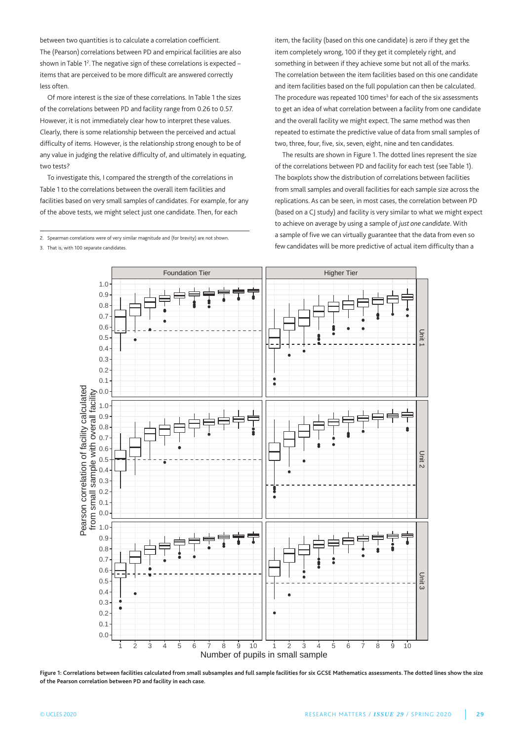between two quantities is to calculate a correlation coefficient. the (Pearson) correlations between PD and empirical facilities are also shown in Table  $1<sup>2</sup>$ . The negative sign of these correlations is expected  $$ items that are perceived to be more difficult are answered correctly less often.

Of more interest is the size of these correlations. In Table 1 the sizes of the correlations between PD and facility range from 0.26 to 0.57. However, it is not immediately clear how to interpret these values. Clearly, there is some relationship between the perceived and actual difficulty of items. However, is the relationship strong enough to be of any value in judging the relative difficulty of, and ultimately in equating, two tests?

To investigate this, I compared the strength of the correlations in Table 1 to the correlations between the overall item facilities and facilities based on very small samples of candidates. For example, for any of the above tests, we might select just one candidate. Then, for each

2. Spearman correlations were of very similar magnitude and (for brevity) are not shown.

3. That is, with 100 separate candidates

item, the facility (based on this one candidate) is zero if they get the item completely wrong, 100 if they get it completely right, and something in between if they achieve some but not all of the marks. the correlation between the item facilities based on this one candidate and item facilities based on the full population can then be calculated. The procedure was repeated 100 times<sup>3</sup> for each of the six assessments to get an idea of what correlation between a facility from one candidate and the overall facility we might expect. The same method was then repeated to estimate the predictive value of data from small samples of two, three, four, five, six, seven, eight, nine and ten candidates.

The results are shown in Figure 1. The dotted lines represent the size of the correlations between PD and facility for each test (see Table 1). The boxplots show the distribution of correlations between facilities from small samples and overall facilities for each sample size across the replications. As can be seen, in most cases, the correlation between PD (based on a CJ study) and facility is very similar to what we might expect to achieve on average by using a sample of *just one candidate*. With a sample of five we can virtually guarantee that the data from even so few candidates will be more predictive of actual item difficulty than a



**Figure 1: Correlations between facilities calculated from small subsamples and full sample facilities for six GCSE Mathematics assessments. The dotted lines show the size of the Pearson correlation between PD and facility in each case.**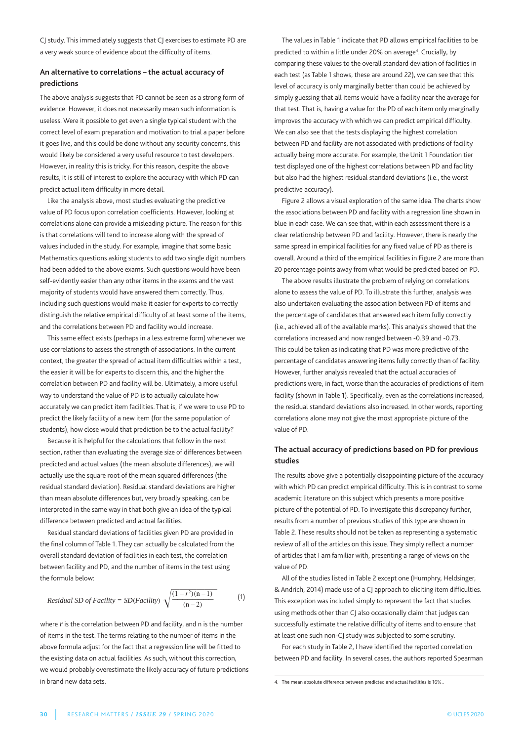CJ study. This immediately suggests that CJ exercises to estimate PD are a very weak source of evidence about the difficulty of items.

#### **An alternative to correlations – the actual accuracy of predictions**

The above analysis suggests that PD cannot be seen as a strong form of evidence. However, it does not necessarily mean such information is useless. Were it possible to get even a single typical student with the correct level of exam preparation and motivation to trial a paper before it goes live, and this could be done without any security concerns, this would likely be considered a very useful resource to test developers. However, in reality this is tricky. For this reason, despite the above results, it is still of interest to explore the accuracy with which PD can predict actual item difficulty in more detail.

Like the analysis above, most studies evaluating the predictive value of PD focus upon correlation coefficients. However, looking at correlations alone can provide a misleading picture. The reason for this is that correlations will tend to increase along with the spread of values included in the study. For example, imagine that some basic mathematics questions asking students to add two single digit numbers had been added to the above exams. Such questions would have been self-evidently easier than any other items in the exams and the vast majority of students would have answered them correctly. Thus, including such questions would make it easier for experts to correctly distinguish the relative empirical difficulty of at least some of the items, and the correlations between PD and facility would increase.

This same effect exists (perhaps in a less extreme form) whenever we use correlations to assess the strength of associations. In the current context, the greater the spread of actual item difficulties within a test, the easier it will be for experts to discern this, and the higher the correlation between PD and facility will be. Ultimately, a more useful way to understand the value of PD is to actually calculate how accurately we can predict item facilities. That is, if we were to use PD to predict the likely facility of a new item (for the same population of students), how close would that prediction be to the actual facility?

Because it is helpful for the calculations that follow in the next section, rather than evaluating the average size of differences between predicted and actual values (the mean absolute differences), we will actually use the square root of the mean squared differences (the residual standard deviation). Residual standard deviations are higher than mean absolute differences but, very broadly speaking, can be interpreted in the same way in that both give an idea of the typical difference between predicted and actual facilities.

Residual standard deviations of facilities given PD are provided in the final column of Table 1. They can actually be calculated from the overall standard deviation of facilities in each test, the correlation between facility and PD, and the number of items in the test using the formula below:

Residual SD of Facility = SD(Facility) 
$$
\sqrt{\frac{(1 - r^2)(n - 1)}{(n - 2)}}
$$
 (1)

where *r* is the correlation between PD and facility, and n is the number of items in the test. The terms relating to the number of items in the above formula adjust for the fact that a regression line will be fitted to the existing data on actual facilities. As such, without this correction, we would probably overestimate the likely accuracy of future predictions in brand new data sets.

The values in Table 1 indicate that PD allows empirical facilities to be predicted to within a little under 20% on average<sup>4</sup>. Crucially, by comparing these values to the overall standard deviation of facilities in each test (as Table 1 shows, these are around 22), we can see that this level of accuracy is only marginally better than could be achieved by simply guessing that all items would have a facility near the average for that test. That is, having a value for the PD of each item only marginally improves the accuracy with which we can predict empirical difficulty. We can also see that the tests displaying the highest correlation between PD and facility are not associated with predictions of facility actually being more accurate. For example, the Unit 1 Foundation tier test displayed one of the highest correlations between PD and facility but also had the highest residual standard deviations (i.e., the worst predictive accuracy).

Figure 2 allows a visual exploration of the same idea. The charts show the associations between PD and facility with a regression line shown in blue in each case. We can see that, within each assessment there is a clear relationship between PD and facility. However, there is nearly the same spread in empirical facilities for any fixed value of PD as there is overall. Around a third of the empirical facilities in Figure 2 are more than 20 percentage points away from what would be predicted based on PD.

The above results illustrate the problem of relying on correlations alone to assess the value of PD. To illustrate this further, analysis was also undertaken evaluating the association between PD of items and the percentage of candidates that answered each item fully correctly (i.e., achieved all of the available marks). This analysis showed that the correlations increased and now ranged between -0.39 and -0.73. This could be taken as indicating that PD was more predictive of the percentage of candidates answering items fully correctly than of facility. However, further analysis revealed that the actual accuracies of predictions were, in fact, worse than the accuracies of predictions of item facility (shown in Table 1). Specifically, even as the correlations increased, the residual standard deviations also increased. In other words, reporting correlations alone may not give the most appropriate picture of the value of PD.

### **The actual accuracy of predictions based on PD for previous studies**

the results above give a potentially disappointing picture of the accuracy with which PD can predict empirical difficulty. This is in contrast to some academic literature on this subject which presents a more positive picture of the potential of PD. To investigate this discrepancy further, results from a number of previous studies of this type are shown in Table 2. These results should not be taken as representing a systematic review of all of the articles on this issue. They simply reflect a number of articles that I am familiar with, presenting a range of views on the value of PD.

All of the studies listed in Table 2 except one (Humphry, Heldsinger, & Andrich, 2014) made use of a CJ approach to eliciting item difficulties. This exception was included simply to represent the fact that studies using methods other than CJ also occasionally claim that judges can successfully estimate the relative difficulty of items and to ensure that at least one such non-CJ study was subjected to some scrutiny.

For each study in Table 2, I have identified the reported correlation between PD and facility. In several cases, the authors reported Spearman

<sup>4.</sup> The mean absolute difference between predicted and actual facilities is 16%.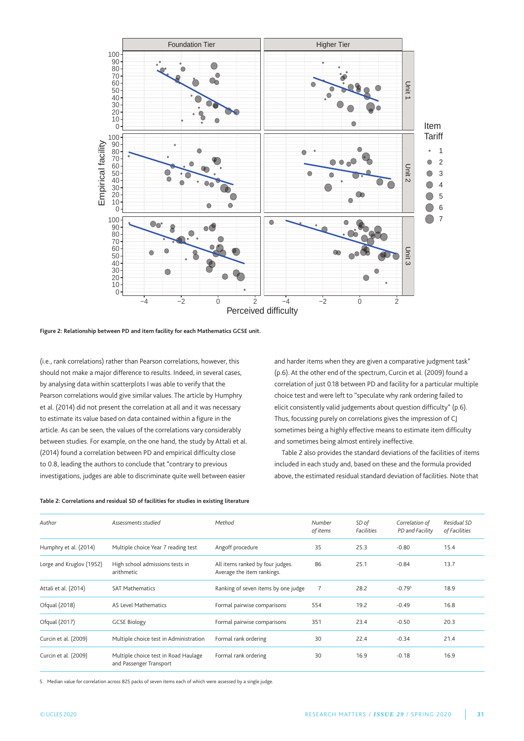

**Figure 2: Relationship between PD and item facility for each Mathematics GCSE unit.**

(i.e., rank correlations) rather than Pearson correlations, however, this should not make a major difference to results. Indeed, in several cases, by analysing data within scatterplots I was able to verify that the Pearson correlations would give similar values. The article by Humphry et al. (2014) did not present the correlation at all and it was necessary to estimate its value based on data contained within a figure in the article. As can be seen, the values of the correlations vary considerably between studies. For example, on the one hand, the study by Attali et al. (2014) found a correlation between PD and empirical difficulty close to 0.8, leading the authors to conclude that "contrary to previous investigations, judges are able to discriminate quite well between easier

and harder items when they are given a comparative judgment task" (p.6). At the other end of the spectrum, Curcin et al. (2009) found a correlation of just 0.18 between PD and facility for a particular multiple choice test and were left to "speculate why rank ordering failed to elicit consistently valid judgements about question difficulty" (p.6). thus, focussing purely on correlations gives the impression of CJ sometimes being a highly effective means to estimate item difficulty and sometimes being almost entirely ineffective.

table 2 also provides the standard deviations of the facilities of items included in each study and, based on these and the formula provided above, the estimated residual standard deviation of facilities. Note that

| Author                   | Assessments studied                                             | Method                                                         | Number<br>of items | SD of<br>Facilities | Correlation of<br>PD and Facility | Residual SD<br>of Facilities |
|--------------------------|-----------------------------------------------------------------|----------------------------------------------------------------|--------------------|---------------------|-----------------------------------|------------------------------|
| Humphry et al. (2014)    | Multiple choice Year 7 reading test                             | Angoff procedure                                               | 35                 | 25.3                | $-0.80$                           | 15.4                         |
| Lorge and Kruglov (1952) | High school admissions tests in<br>arithmetic                   | All items ranked by four judges.<br>Average the item rankings. | 86                 | 25.1                | $-0.84$                           | 13.7                         |
| Attali et al. (2014)     | <b>SAT Mathematics</b>                                          | Ranking of seven items by one judge                            |                    | 28.2                | $-0.795$                          | 18.9                         |
| Ofqual (2018)            | <b>AS Level Mathematics</b>                                     | Formal pairwise comparisons                                    | 554                | 19.2                | $-0.49$                           | 16.8                         |
| Ofqual (2017)            | <b>GCSE Biology</b>                                             | Formal pairwise comparisons                                    | 351                | 23.4                | $-0.50$                           | 20.3                         |
| Curcin et al. (2009)     | Multiple choice test in Administration                          | Formal rank ordering                                           | 30                 | 22.4                | $-0.34$                           | 21.4                         |
| Curcin et al. (2009)     | Multiple choice test in Road Haulage<br>and Passenger Transport | Formal rank ordering                                           | 30                 | 16.9                | $-0.18$                           | 16.9                         |

**Table 2: Correlations and residual SD of facilities for studies in existing literature**

5. median value for correlation across 825 packs of seven items each of which were assessed by a single judge.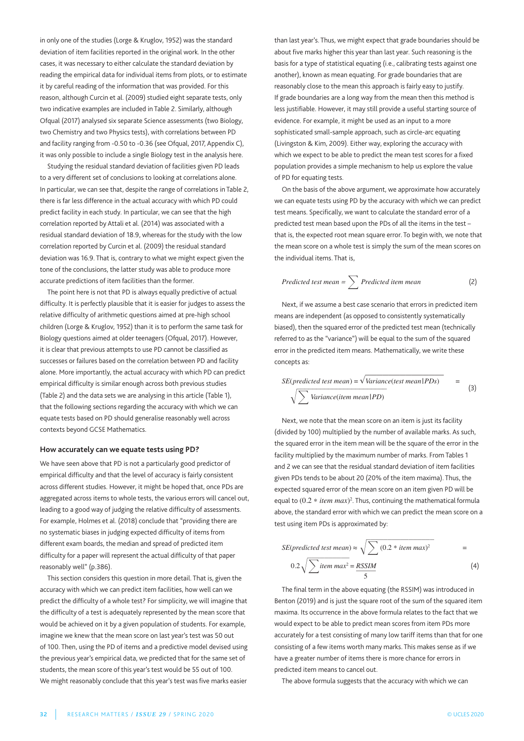in only one of the studies (Lorge & Kruglov, 1952) was the standard deviation of item facilities reported in the original work. In the other cases, it was necessary to either calculate the standard deviation by reading the empirical data for individual items from plots, or to estimate it by careful reading of the information that was provided. For this reason, although Curcin et al. (2009) studied eight separate tests, only two indicative examples are included in Table 2. Similarly, although Ofqual (2017) analysed six separate Science assessments (two Biology, two Chemistry and two Physics tests), with correlations between PD and facility ranging from -0.50 to -0.36 (see Ofqual, 2017, Appendix C), it was only possible to include a single Biology test in the analysis here.

Studying the residual standard deviation of facilities given PD leads to a very different set of conclusions to looking at correlations alone. In particular, we can see that, despite the range of correlations in Table 2, there is far less difference in the actual accuracy with which PD could predict facility in each study. In particular, we can see that the high correlation reported by Attali et al. (2014) was associated with a residual standard deviation of 18.9, whereas for the study with the low correlation reported by Curcin et al. (2009) the residual standard deviation was 16.9. That is, contrary to what we might expect given the tone of the conclusions, the latter study was able to produce more accurate predictions of item facilities than the former.

The point here is not that PD is always equally predictive of actual difficulty. It is perfectly plausible that it is easier for judges to assess the relative difficulty of arithmetic questions aimed at pre-high school children (Lorge & Kruglov, 1952) than it is to perform the same task for Biology questions aimed at older teenagers (Ofqual, 2017). However, it is clear that previous attempts to use PD cannot be classified as successes or failures based on the correlation between PD and facility alone. More importantly, the actual accuracy with which PD can predict empirical difficulty is similar enough across both previous studies (Table 2) and the data sets we are analysing in this article (Table 1), that the following sections regarding the accuracy with which we can equate tests based on PD should generalise reasonably well across contexts beyond GCSE mathematics.

#### **How accurately can we equate tests using PD?**

We have seen above that PD is not a particularly good predictor of empirical difficulty and that the level of accuracy is fairly consistent across different studies. However, it might be hoped that, once PDs are aggregated across items to whole tests, the various errors will cancel out, leading to a good way of judging the relative difficulty of assessments. For example, Holmes et al. (2018) conclude that "providing there are no systematic biases in judging expected difficulty of items from different exam boards, the median and spread of predicted item difficulty for a paper will represent the actual difficulty of that paper reasonably well" (p.386).

This section considers this question in more detail. That is, given the accuracy with which we can predict item facilities, how well can we predict the difficulty of a whole test? For simplicity, we will imagine that the difficulty of a test is adequately represented by the mean score that would be achieved on it by a given population of students. For example, imagine we knew that the mean score on last year's test was 50 out of 100. Then, using the PD of items and a predictive model devised using the previous year's empirical data, we predicted that for the same set of students, the mean score of this year's test would be 55 out of 100. We might reasonably conclude that this year's test was five marks easier than last year's. Thus, we might expect that grade boundaries should be about five marks higher this year than last year. Such reasoning is the basis for a type of statistical equating (i.e., calibrating tests against one another), known as mean equating. For grade boundaries that are reasonably close to the mean this approach is fairly easy to justify. If grade boundaries are a long way from the mean then this method is less justifiable. However, it may still provide a useful starting source of evidence. For example, it might be used as an input to a more sophisticated small-sample approach, such as circle-arc equating (Livingston & Kim, 2009). Either way, exploring the accuracy with which we expect to be able to predict the mean test scores for a fixed population provides a simple mechanism to help us explore the value of PD for equating tests.

On the basis of the above argument, we approximate how accurately we can equate tests using PD by the accuracy with which we can predict test means. Specifically, we want to calculate the standard error of a predicted test mean based upon the PDs of all the items in the test – that is, the expected root mean square error. To begin with, we note that the mean score on a whole test is simply the sum of the mean scores on the individual items. That is,

Predicted test mean = 
$$
\sum
$$
 Predicted item mean (2)

Next, if we assume a best case scenario that errors in predicted item means are independent (as opposed to consistently systematically biased), then the squared error of the predicted test mean (technically referred to as the "variance") will be equal to the sum of the squared error in the predicted item means. Mathematically, we write these concepts as:

$$
SE(predicted test mean) = \sqrt{Variance(test mean | PDs)}
$$
  
\n
$$
\sqrt{\sum Variance(item mean | PD)}
$$
 (3)

Next, we note that the mean score on an item is just its facility (divided by 100) multiplied by the number of available marks. As such, the squared error in the item mean will be the square of the error in the facility multiplied by the maximum number of marks. From tables 1 and 2 we can see that the residual standard deviation of item facilities given PDs tends to be about 20 (20% of the item maxima). Thus, the expected squared error of the mean score on an item given PD will be equal to  $(0.2 * item max)^2$ . Thus, continuing the mathematical formula above, the standard error with which we can predict the mean score on a test using item PDs is approximated by:

$$
SE(predicted test mean) \approx \sqrt{\sum (0.2 * item max)^2}
$$
  
= 0.2 $\sqrt{\sum item max^2}$  = RSSIM (4)

The final term in the above equating (the RSSIM) was introduced in Benton (2019) and is just the square root of the sum of the squared item maxima. Its occurrence in the above formula relates to the fact that we would expect to be able to predict mean scores from item PDs more accurately for a test consisting of many low tariff items than that for one consisting of a few items worth many marks. This makes sense as if we have a greater number of items there is more chance for errors in predicted item means to cancel out.

The above formula suggests that the accuracy with which we can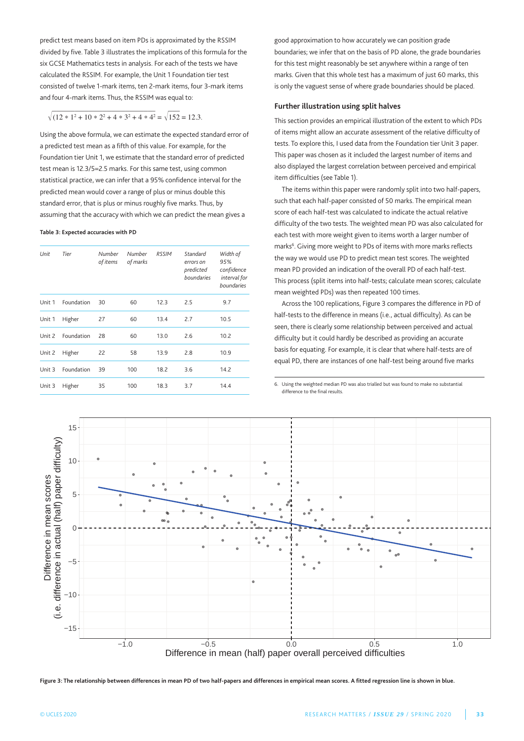predict test means based on item PDs is approximated by the RSSIm divided by five. Table 3 illustrates the implications of this formula for the six GCSE mathematics tests in analysis. For each of the tests we have calculated the RSSIm. For example, the Unit 1 Foundation tier test consisted of twelve 1-mark items, ten 2-mark items, four 3-mark items and four 4-mark items. Thus, the RSSIM was equal to:

# $\sqrt{(12 * 1^2 + 10 * 2^2 + 4 * 3^2 + 4 * 4^2)} = \sqrt{152} = 12.3.$

Using the above formula, we can estimate the expected standard error of a predicted test mean as a fifth of this value. For example, for the Foundation tier Unit 1, we estimate that the standard error of predicted test mean is 12.3/5=2.5 marks. For this same test, using common statistical practice, we can infer that a 95% confidence interval for the predicted mean would cover a range of plus or minus double this standard error, that is plus or minus roughly five marks. Thus, by assuming that the accuracy with which we can predict the mean gives a

#### **Table 3: Expected accuracies with PD**

| Unit   | Tier       | Number<br>of items | Number<br>of marks | <b>RSSIM</b> | Standard<br>errors on<br>predicted<br>boundaries | Width of<br>95%<br>confidence<br>interval for<br>boundaries |
|--------|------------|--------------------|--------------------|--------------|--------------------------------------------------|-------------------------------------------------------------|
| Unit 1 | Foundation | 30                 | 60                 | 12.3         | 2.5                                              | 9.7                                                         |
| Unit 1 | Higher     | 27                 | 60                 | 13.4         | 2.7                                              | 10.5                                                        |
| Unit 2 | Foundation | 28                 | 60                 | 13.0         | 2.6                                              | 10.2                                                        |
| Unit 2 | Higher     | 22                 | 58                 | 13.9         | 2.8                                              | 10.9                                                        |
| Unit 3 | Foundation | 39                 | 100                | 18.2         | 3.6                                              | 14.2                                                        |
| Unit 3 | Higher     | 35                 | 100                | 18.3         | 3.7                                              | 14.4                                                        |

good approximation to how accurately we can position grade boundaries; we infer that on the basis of PD alone, the grade boundaries for this test might reasonably be set anywhere within a range of ten marks. Given that this whole test has a maximum of just 60 marks, this is only the vaguest sense of where grade boundaries should be placed.

#### **Further illustration using split halves**

this section provides an empirical illustration of the extent to which PDs of items might allow an accurate assessment of the relative difficulty of tests. to explore this, I used data from the Foundation tier Unit 3 paper. This paper was chosen as it included the largest number of items and also displayed the largest correlation between perceived and empirical item difficulties (see Table 1).

The items within this paper were randomly split into two half-papers, such that each half-paper consisted of 50 marks. The empirical mean score of each half-test was calculated to indicate the actual relative difficulty of the two tests. The weighted mean PD was also calculated for each test with more weight given to items worth a larger number of marks<sup>6</sup>. Giving more weight to PDs of items with more marks reflects the way we would use PD to predict mean test scores. The weighted mean PD provided an indication of the overall PD of each half-test. this process (split items into half-tests; calculate mean scores; calculate mean weighted PDs) was then repeated 100 times.

Across the 100 replications, Figure 3 compares the difference in PD of half-tests to the difference in means (i.e., actual difficulty). As can be seen, there is clearly some relationship between perceived and actual difficulty but it could hardly be described as providing an accurate basis for equating. For example, it is clear that where half-tests are of equal PD, there are instances of one half-test being around five marks

6. Using the weighted median PD was also trialled but was found to make no substantial difference to the final results.



**Figure 3: The relationship between differences in mean PD of two half-papers and differences in empirical mean scores. A fitted regression line is shown in blue.**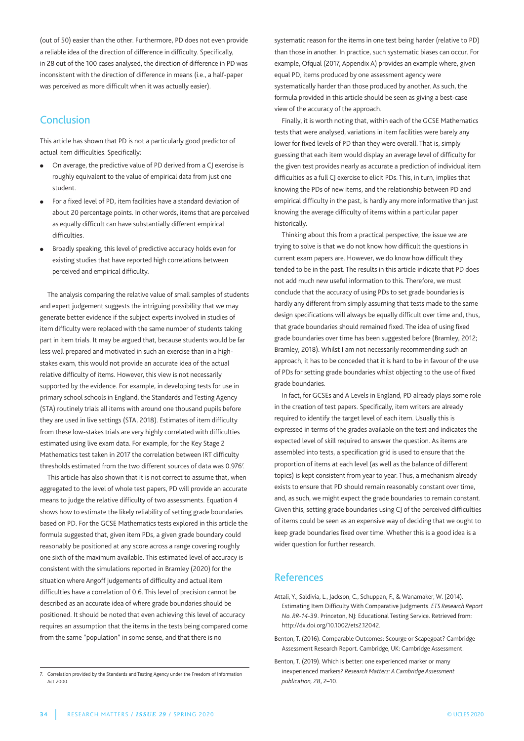(out of 50) easier than the other. Furthermore, PD does not even provide a reliable idea of the direction of difference in difficulty. Specifically, in 28 out of the 100 cases analysed, the direction of difference in PD was inconsistent with the direction of difference in means (i.e., a half-paper was perceived as more difficult when it was actually easier).

# **Conclusion**

This article has shown that PD is not a particularly good predictor of actual item difficulties. Specifically:

- On average, the predictive value of PD derived from a CJ exercise is roughly equivalent to the value of empirical data from just one student.
- For a fixed level of PD, item facilities have a standard deviation of about 20 percentage points. In other words, items that are perceived as equally difficult can have substantially different empirical difficulties.
- <sup>l</sup> Broadly speaking, this level of predictive accuracy holds even for existing studies that have reported high correlations between perceived and empirical difficulty.

the analysis comparing the relative value of small samples of students and expert judgement suggests the intriguing possibility that we may generate better evidence if the subject experts involved in studies of item difficulty were replaced with the same number of students taking part in item trials. It may be argued that, because students would be far less well prepared and motivated in such an exercise than in a highstakes exam, this would not provide an accurate idea of the actual relative difficulty of items. However, this view is not necessarily supported by the evidence. For example, in developing tests for use in primary school schools in England, the Standards and Testing Agency (StA) routinely trials all items with around one thousand pupils before they are used in live settings (StA, 2018). Estimates of item difficulty from these low-stakes trials are very highly correlated with difficulties estimated using live exam data. For example, for the Key Stage 2 Mathematics test taken in 2017 the correlation between IRT difficulty thresholds estimated from the two different sources of data was 0.976<sup>7</sup>.

this article has also shown that it is not correct to assume that, when aggregated to the level of whole test papers, PD will provide an accurate means to judge the relative difficulty of two assessments. Equation 4 shows how to estimate the likely reliability of setting grade boundaries based on PD. For the GCSE mathematics tests explored in this article the formula suggested that, given item PDs, a given grade boundary could reasonably be positioned at any score across a range covering roughly one sixth of the maximum available. This estimated level of accuracy is consistent with the simulations reported in Bramley (2020) for the situation where Angoff judgements of difficulty and actual item difficulties have a correlation of 0.6. This level of precision cannot be described as an accurate idea of where grade boundaries should be positioned. It should be noted that even achieving this level of accuracy requires an assumption that the items in the tests being compared come from the same "population" in some sense, and that there is no

systematic reason for the items in one test being harder (relative to PD) than those in another. In practice, such systematic biases can occur. For example, Ofqual (2017, Appendix A) provides an example where, given equal PD, items produced by one assessment agency were systematically harder than those produced by another. As such, the formula provided in this article should be seen as giving a best-case view of the accuracy of the approach.

Finally, it is worth noting that, within each of the GCSE mathematics tests that were analysed, variations in item facilities were barely any lower for fixed levels of PD than they were overall. That is, simply guessing that each item would display an average level of difficulty for the given test provides nearly as accurate a prediction of individual item difficulties as a full CJ exercise to elicit PDs. This, in turn, implies that knowing the PDs of new items, and the relationship between PD and empirical difficulty in the past, is hardly any more informative than just knowing the average difficulty of items within a particular paper historically.

thinking about this from a practical perspective, the issue we are trying to solve is that we do not know how difficult the questions in current exam papers are. However, we do know how difficult they tended to be in the past. The results in this article indicate that PD does not add much new useful information to this. Therefore, we must conclude that the accuracy of using PDs to set grade boundaries is hardly any different from simply assuming that tests made to the same design specifications will always be equally difficult over time and, thus, that grade boundaries should remained fixed. The idea of using fixed grade boundaries over time has been suggested before (Bramley, 2012; Bramley, 2018). Whilst I am not necessarily recommending such an approach, it has to be conceded that it is hard to be in favour of the use of PDs for setting grade boundaries whilst objecting to the use of fixed grade boundaries.

In fact, for GCSEs and A Levels in England, PD already plays some role in the creation of test papers. Specifically, item writers are already required to identify the target level of each item. Usually this is expressed in terms of the grades available on the test and indicates the expected level of skill required to answer the question. As items are assembled into tests, a specification grid is used to ensure that the proportion of items at each level (as well as the balance of different topics) is kept consistent from year to year. Thus, a mechanism already exists to ensure that PD should remain reasonably constant over time, and, as such, we might expect the grade boundaries to remain constant. Given this, setting grade boundaries using CJ of the perceived difficulties of items could be seen as an expensive way of deciding that we ought to keep grade boundaries fixed over time. Whether this is a good idea is a wider question for further research.

# References

- Attali, Y., Saldivia, L., Jackson, C., Schuppan, F., & Wanamaker, W. (2014). Estimating Item Difficulty With Comparative Judgments. *ETS Research Report No. RR-14-39.* Princeton, NJ: Educational Testing Service. Retrieved from: http://dx.doi.org/10.1002/ets2.12042.
- Benton, T. (2016). Comparable Outcomes: Scourge or Scapegoat? Cambridge Assessment Research Report. Cambridge, UK: Cambridge Assessment.
- Benton, T. (2019). Which is better: one experienced marker or many inexperienced markers? *Research Matters: A Cambridge Assessment publication, 28*, 2–10.

<sup>7.</sup> Correlation provided by the Standards and testing Agency under the Freedom of Information Act 2000.